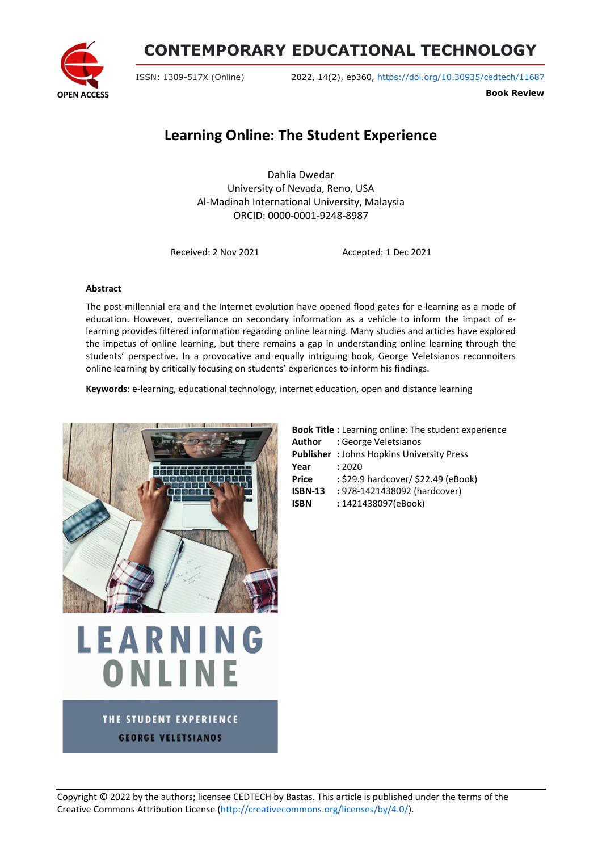

## **CONTEMPORARY EDUCATIONAL TECHNOLOGY**

ISSN: 1309-517X (Online) 2022, 14(2), ep360, <https://doi.org/10.30935/cedtech/11687>

**Book Review**

## **Learning Online: The Student Experience**

Dahlia Dwedar University of Nevada, Reno, USA Al-Madinah International University, Malaysia ORCID: 0000-0001-9248-8987

Received: 2 Nov 2021 Accepted: 1 Dec 2021

## **Abstract**

The post-millennial era and the Internet evolution have opened flood gates for e-learning as a mode of education. However, overreliance on secondary information as a vehicle to inform the impact of elearning provides filtered information regarding online learning. Many studies and articles have explored the impetus of online learning, but there remains a gap in understanding online learning through the students' perspective. In a provocative and equally intriguing book, George Veletsianos reconnoiters online learning by critically focusing on students' experiences to inform his findings.

**Keywords**: e-learning, educational technology, internet education, open and distance learning



|                | <b>Book Title:</b> Learning online: The student experience |
|----------------|------------------------------------------------------------|
|                | <b>Author</b> : George Veletsianos                         |
|                | <b>Publisher: Johns Hopkins University Press</b>           |
| Year           | : 2020                                                     |
| <b>Price</b>   | : \$29.9 hardcover/ \$22.49 (eBook)                        |
| <b>ISBN-13</b> | : 978-1421438092 (hardcover)                               |
| <b>ISBN</b>    | : 1421438097(eBook)                                        |

THE STUDENT EXPERIENCE **GEORGE VELETSIANOS** 

LEARNING

ONLINE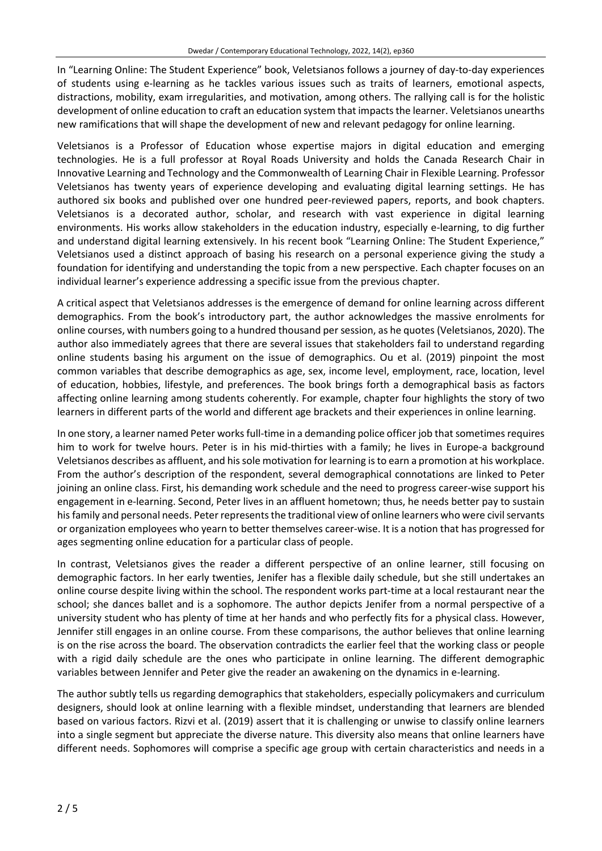In "Learning Online: The Student Experience" book, Veletsianos follows a journey of day-to-day experiences of students using e-learning as he tackles various issues such as traits of learners, emotional aspects, distractions, mobility, exam irregularities, and motivation, among others. The rallying call is for the holistic development of online education to craft an education system that impacts the learner. Veletsianos unearths new ramifications that will shape the development of new and relevant pedagogy for online learning.

Veletsianos is a Professor of Education whose expertise majors in digital education and emerging technologies. He is a full professor at Royal Roads University and holds the Canada Research Chair in Innovative Learning and Technology and the Commonwealth of Learning Chair in Flexible Learning. Professor Veletsianos has twenty years of experience developing and evaluating digital learning settings. He has authored six books and published over one hundred peer-reviewed papers, reports, and book chapters. Veletsianos is a decorated author, scholar, and research with vast experience in digital learning environments. His works allow stakeholders in the education industry, especially e-learning, to dig further and understand digital learning extensively. In his recent book "Learning Online: The Student Experience," Veletsianos used a distinct approach of basing his research on a personal experience giving the study a foundation for identifying and understanding the topic from a new perspective. Each chapter focuses on an individual learner's experience addressing a specific issue from the previous chapter.

A critical aspect that Veletsianos addresses is the emergence of demand for online learning across different demographics. From the book's introductory part, the author acknowledges the massive enrolments for online courses, with numbers going to a hundred thousand per session, as he quotes (Veletsianos, 2020). The author also immediately agrees that there are several issues that stakeholders fail to understand regarding online students basing his argument on the issue of demographics. Ou et al. (2019) pinpoint the most common variables that describe demographics as age, sex, income level, employment, race, location, level of education, hobbies, lifestyle, and preferences. The book brings forth a demographical basis as factors affecting online learning among students coherently. For example, chapter four highlights the story of two learners in different parts of the world and different age brackets and their experiences in online learning.

In one story, a learner named Peter works full-time in a demanding police officer job that sometimes requires him to work for twelve hours. Peter is in his mid-thirties with a family; he lives in Europe-a background Veletsianos describes as affluent, and hissole motivation for learning isto earn a promotion at his workplace. From the author's description of the respondent, several demographical connotations are linked to Peter joining an online class. First, his demanding work schedule and the need to progress career-wise support his engagement in e-learning. Second, Peter lives in an affluent hometown; thus, he needs better pay to sustain his family and personal needs. Peter represents the traditional view of online learners who were civil servants or organization employees who yearn to better themselves career-wise. It is a notion that has progressed for ages segmenting online education for a particular class of people.

In contrast, Veletsianos gives the reader a different perspective of an online learner, still focusing on demographic factors. In her early twenties, Jenifer has a flexible daily schedule, but she still undertakes an online course despite living within the school. The respondent works part-time at a local restaurant near the school; she dances ballet and is a sophomore. The author depicts Jenifer from a normal perspective of a university student who has plenty of time at her hands and who perfectly fits for a physical class. However, Jennifer still engages in an online course. From these comparisons, the author believes that online learning is on the rise across the board. The observation contradicts the earlier feel that the working class or people with a rigid daily schedule are the ones who participate in online learning. The different demographic variables between Jennifer and Peter give the reader an awakening on the dynamics in e-learning.

The author subtly tells us regarding demographics that stakeholders, especially policymakers and curriculum designers, should look at online learning with a flexible mindset, understanding that learners are blended based on various factors. Rizvi et al. (2019) assert that it is challenging or unwise to classify online learners into a single segment but appreciate the diverse nature. This diversity also means that online learners have different needs. Sophomores will comprise a specific age group with certain characteristics and needs in a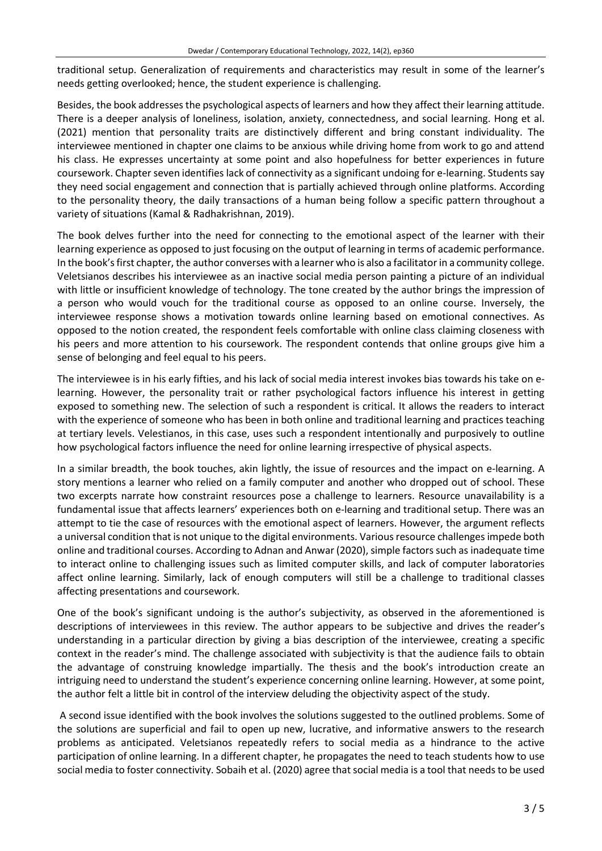traditional setup. Generalization of requirements and characteristics may result in some of the learner's needs getting overlooked; hence, the student experience is challenging.

Besides, the book addresses the psychological aspects of learners and how they affect their learning attitude. There is a deeper analysis of loneliness, isolation, anxiety, connectedness, and social learning. Hong et al. (2021) mention that personality traits are distinctively different and bring constant individuality. The interviewee mentioned in chapter one claims to be anxious while driving home from work to go and attend his class. He expresses uncertainty at some point and also hopefulness for better experiences in future coursework. Chapter seven identifies lack of connectivity as a significant undoing for e-learning. Students say they need social engagement and connection that is partially achieved through online platforms. According to the personality theory, the daily transactions of a human being follow a specific pattern throughout a variety of situations (Kamal & Radhakrishnan, 2019).

The book delves further into the need for connecting to the emotional aspect of the learner with their learning experience as opposed to just focusing on the output of learning in terms of academic performance. In the book's first chapter, the author converses with a learner who is also a facilitator in a community college. Veletsianos describes his interviewee as an inactive social media person painting a picture of an individual with little or insufficient knowledge of technology. The tone created by the author brings the impression of a person who would vouch for the traditional course as opposed to an online course. Inversely, the interviewee response shows a motivation towards online learning based on emotional connectives. As opposed to the notion created, the respondent feels comfortable with online class claiming closeness with his peers and more attention to his coursework. The respondent contends that online groups give him a sense of belonging and feel equal to his peers.

The interviewee is in his early fifties, and his lack of social media interest invokes bias towards his take on elearning. However, the personality trait or rather psychological factors influence his interest in getting exposed to something new. The selection of such a respondent is critical. It allows the readers to interact with the experience of someone who has been in both online and traditional learning and practices teaching at tertiary levels. Velestianos, in this case, uses such a respondent intentionally and purposively to outline how psychological factors influence the need for online learning irrespective of physical aspects.

In a similar breadth, the book touches, akin lightly, the issue of resources and the impact on e-learning. A story mentions a learner who relied on a family computer and another who dropped out of school. These two excerpts narrate how constraint resources pose a challenge to learners. Resource unavailability is a fundamental issue that affects learners' experiences both on e-learning and traditional setup. There was an attempt to tie the case of resources with the emotional aspect of learners. However, the argument reflects a universal condition that is not unique to the digital environments. Various resource challenges impede both online and traditional courses. According to Adnan and Anwar (2020), simple factors such as inadequate time to interact online to challenging issues such as limited computer skills, and lack of computer laboratories affect online learning. Similarly, lack of enough computers will still be a challenge to traditional classes affecting presentations and coursework.

One of the book's significant undoing is the author's subjectivity, as observed in the aforementioned is descriptions of interviewees in this review. The author appears to be subjective and drives the reader's understanding in a particular direction by giving a bias description of the interviewee, creating a specific context in the reader's mind. The challenge associated with subjectivity is that the audience fails to obtain the advantage of construing knowledge impartially. The thesis and the book's introduction create an intriguing need to understand the student's experience concerning online learning. However, at some point, the author felt a little bit in control of the interview deluding the objectivity aspect of the study.

A second issue identified with the book involves the solutions suggested to the outlined problems. Some of the solutions are superficial and fail to open up new, lucrative, and informative answers to the research problems as anticipated. Veletsianos repeatedly refers to social media as a hindrance to the active participation of online learning. In a different chapter, he propagates the need to teach students how to use social media to foster connectivity. Sobaih et al. (2020) agree that social media is a tool that needs to be used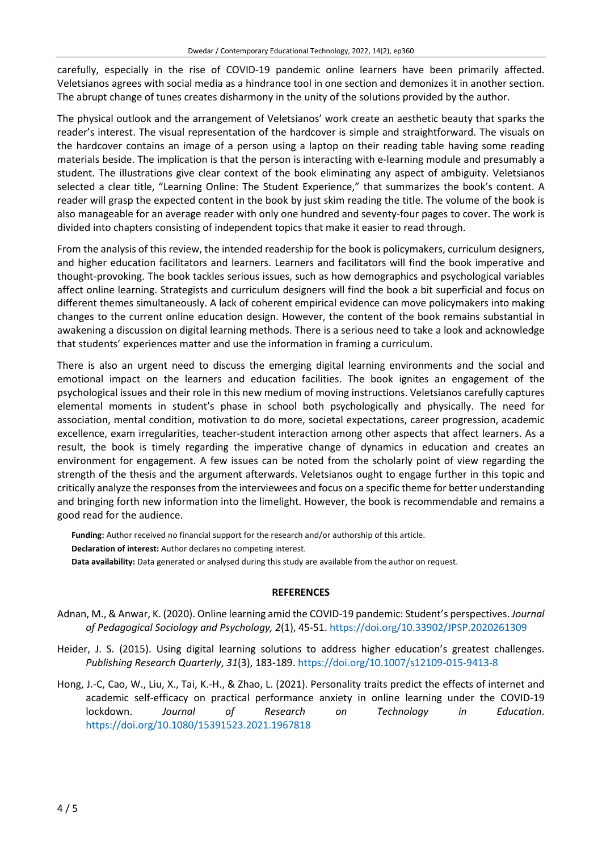carefully, especially in the rise of COVID-19 pandemic online learners have been primarily affected. Veletsianos agrees with social media as a hindrance tool in one section and demonizes it in another section. The abrupt change of tunes creates disharmony in the unity of the solutions provided by the author.

The physical outlook and the arrangement of Veletsianos' work create an aesthetic beauty that sparks the reader's interest. The visual representation of the hardcover is simple and straightforward. The visuals on the hardcover contains an image of a person using a laptop on their reading table having some reading materials beside. The implication is that the person is interacting with e-learning module and presumably a student. The illustrations give clear context of the book eliminating any aspect of ambiguity. Veletsianos selected a clear title, "Learning Online: The Student Experience," that summarizes the book's content. A reader will grasp the expected content in the book by just skim reading the title. The volume of the book is also manageable for an average reader with only one hundred and seventy-four pages to cover. The work is divided into chapters consisting of independent topics that make it easier to read through.

From the analysis of this review, the intended readership for the book is policymakers, curriculum designers, and higher education facilitators and learners. Learners and facilitators will find the book imperative and thought-provoking. The book tackles serious issues, such as how demographics and psychological variables affect online learning. Strategists and curriculum designers will find the book a bit superficial and focus on different themes simultaneously. A lack of coherent empirical evidence can move policymakers into making changes to the current online education design. However, the content of the book remains substantial in awakening a discussion on digital learning methods. There is a serious need to take a look and acknowledge that students' experiences matter and use the information in framing a curriculum.

There is also an urgent need to discuss the emerging digital learning environments and the social and emotional impact on the learners and education facilities. The book ignites an engagement of the psychological issues and their role in this new medium of moving instructions. Veletsianos carefully captures elemental moments in student's phase in school both psychologically and physically. The need for association, mental condition, motivation to do more, societal expectations, career progression, academic excellence, exam irregularities, teacher-student interaction among other aspects that affect learners. As a result, the book is timely regarding the imperative change of dynamics in education and creates an environment for engagement. A few issues can be noted from the scholarly point of view regarding the strength of the thesis and the argument afterwards. Veletsianos ought to engage further in this topic and critically analyze the responses from the interviewees and focus on a specific theme for better understanding and bringing forth new information into the limelight. However, the book is recommendable and remains a good read for the audience.

**Funding:** Author received no financial support for the research and/or authorship of this article. **Declaration of interest:** Author declares no competing interest. **Data availability:** Data generated or analysed during this study are available from the author on request.

## **REFERENCES**

- Adnan, M., & Anwar, K. (2020). Online learning amid the COVID-19 pandemic: Student's perspectives. *Journal of Pedagogical Sociology and Psychology, 2*(1), 45-51. <https://doi.org/10.33902/JPSP.2020261309>
- Heider, J. S. (2015). Using digital learning solutions to address higher education's greatest challenges. *Publishing Research Quarterly*, *31*(3), 183-189. <https://doi.org/10.1007/s12109-015-9413-8>
- Hong, J.-C, Cao, W., Liu, X., Tai, K.-H., & Zhao, L. (2021). Personality traits predict the effects of internet and academic self-efficacy on practical performance anxiety in online learning under the COVID-19 lockdown. *Journal of Research on Technology in Education*. <https://doi.org/10.1080/15391523.2021.1967818>